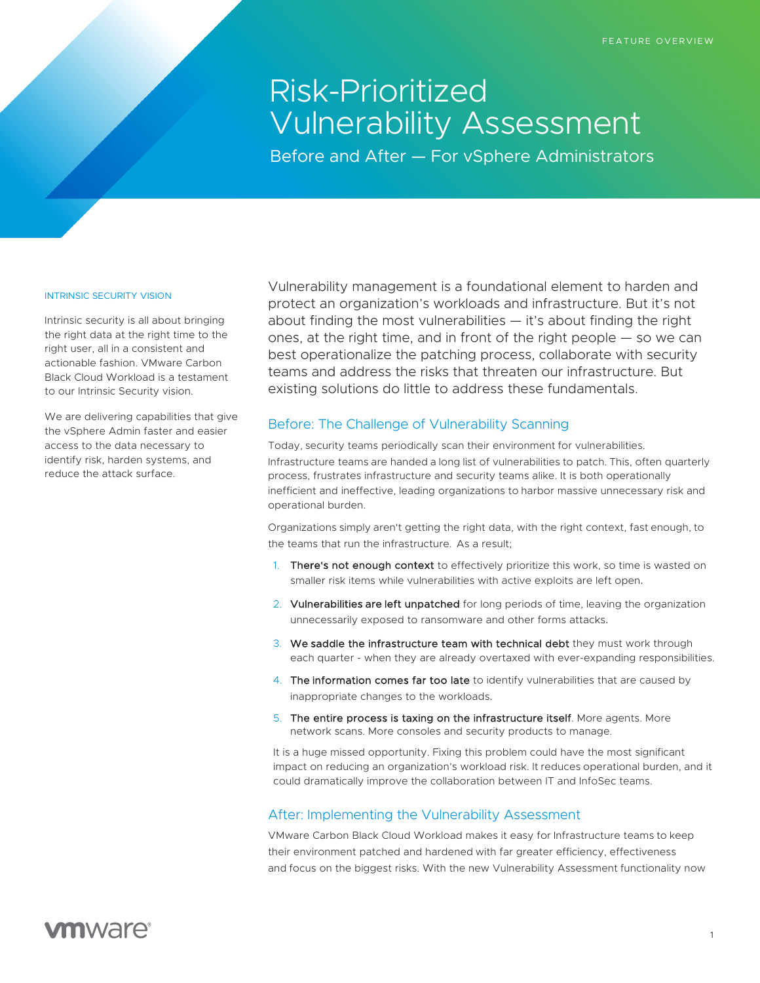# Risk-Prioritized Vulnerability Assessment

Before and After — For vSphere Administrators

### INTRINSIC SECURITY VISION

Intrinsic security is all about bringing the right data at the right time to the right user, all in a consistent and actionable fashion. VMware Carbon Black Cloud Workload is a testament to our Intrinsic Security vision.

We are delivering capabilities that give the vSphere Admin faster and easier access to the data necessary to identify risk, harden systems, and reduce the attack surface.

Vulnerability management is a foundational element to harden and protect an organization's workloads and infrastructure. But it's not about finding the most vulnerabilities — it's about finding the right ones, at the right time, and in front of the right people — so we can best operationalize the patching process, collaborate with security teams and address the risks that threaten our infrastructure. But existing solutions do little to address these fundamentals.

## Before: The Challenge of Vulnerability Scanning

Today, security teams periodically scan their environment for vulnerabilities. Infrastructure teams are handed a long list of vulnerabilities to patch. This, often quarterly process, frustrates infrastructure and security teams alike. It is both operationally inefficient and ineffective, leading organizations to harbor massive unnecessary risk and operational burden.

Organizations simply aren't getting the right data, with the right context, fast enough, to the teams that run the infrastructure. As a result;

- 1. There's not enough context to effectively prioritize this work, so time is wasted on smaller risk items while vulnerabilities with active exploits are left open.
- 2. Vulnerabilities are left unpatched for long periods of time, leaving the organization unnecessarily exposed to ransomware and other forms attacks.
- 3. We saddle the infrastructure team with technical debt they must work through each quarter - when they are already overtaxed with ever-expanding responsibilities.
- 4. The information comes far too late to identify vulnerabilities that are caused by inappropriate changes to the workloads.
- 5. The entire process is taxing on the infrastructure itself. More agents. More network scans. More consoles and security products to manage.

It is a huge missed opportunity. Fixing this problem could have the most significant impact on reducing an organization's workload risk. It reduces operational burden, and it could dramatically improve the collaboration between IT and InfoSec teams.

# After: Implementing the Vulnerability Assessment

VMware Carbon Black Cloud Workload makes it easy for Infrastructure teams to keep their environment patched and hardened with far greater efficiency, effectiveness and focus on the biggest risks. With the new Vulnerability Assessment functionality now

# **vm**ware<sup>®</sup>